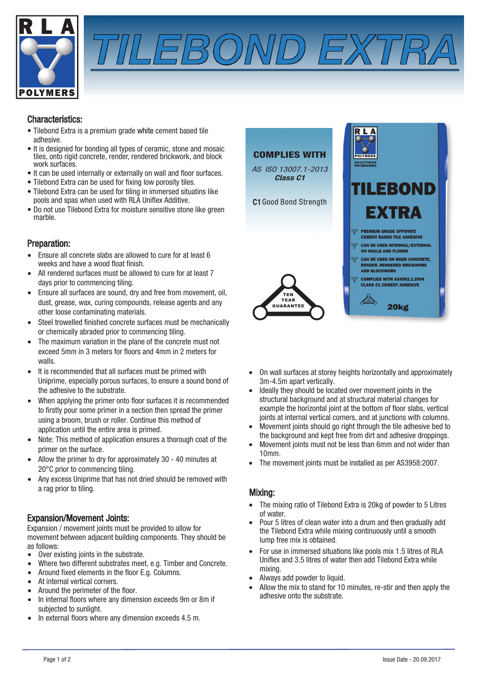



### Characteristics:

- Tilebond is a premium grade white cement based tile adhesive.
- It is designed for bonding all types of ceramic, stone and mosaic tiles, onto rigid concrete, render, rendered brickwork, and block work surfaces.
- It can be used internally or externally on wall and floor surfaces.
- Tilebond can be used for fixing low porosity tiles.
- Tilebond can be used for tiling in immersed situations like pools and spas when used with RLA Uniflex Additive.
- Do not use Tilebond for moisture sensitive stone like green marble.

#### COMPLIES WITH

AS ISO 13007.1-2013 Class C1

C1 Good Bond Strength

### Preparation:

- Ensure all concrete slabs are allowed to cure for at least 6 weeks and have a wood float finish.
- All rendered surfaces must be allowed to cure for at least 7 days prior to commencing tiling.
- Ensure all surfaces are sound, dry and free from movement, oil, dust, grease, wax, curing compounds, release agents and any other loose contaminating materials.
- Steel trowelled finished concrete surfaces must be mechanically or chemically abraded prior to commencing tiling.
- The maximum variation in the plane of the concrete must not exceed 5mm in 3 meters for floors and 4mm in 2 meters for walls.
- It is recommended that all surfaces must be primed with Uniprime, especially porous surfaces, to ensure a sound bond of the adhesive to the substrate.
- When applying the primer onto floor surfaces it is recommended to firstly pour some primer in a section then spread the primer using a broom, brush or roller. Continue this method of application until the entire area is primed.
- Note: This method of application ensures a thorough coat of the primer on the surface.
- Allow the primer to dry for approximately 30 40 minutes at 20°C prior to commencing tiling.
- Any excess Uniprime that has not dried should be removed with a rag prior to tiling.

### Expansion/Movement Joints:

Expansion / movement joints must be provided to allow for movement between adjacent building components. They should be as follows:

- Over existing joints in the substrate.
- Where two different substrates meet, e.g. Timber and Concrete.
- Around fixed elements in the floor E.g. Columns.
- At internal vertical corners.
- Around the perimeter of the floor.
- In internal floors where any dimension exceeds 9m or 8m if subjected to sunlight.
- In external floors where any dimension exceeds 4.5 m.



- On wall surfaces at storey heights horizontally and approximately 3m-4.5m apart vertically.
- Ideally they should be located over movement joints in the structural background and at structural material changes for example the horizontal joint at the bottom of floor slabs, vertical joints at internal vertical corners, and at junctions with columns.
- Movement joints should go right through the tile adhesive bed to the background and kept free from dirt and adhesive droppings.
- Movement joints must not be less than 6mm and not wider than 10mm.
- The movement joints must be installed as per AS3958:2007.

#### Mixing:

- The mixing ratio of Tilebond is 20kg of powder to 5 Litres of water.
- Pour 5 litres of clean water into a drum and then gradually add the Tilebond while mixing continuously until a smooth lump free mix is obtained.
- For use in immersed situations like pools mix 1.5 litres of RLA Uniflex and 3.5 litres of water then add Tilebond while mixing.
- Always add powder to liquid.
- Allow the mix to stand for 10 minutes, re-stir and then apply the adhesive onto the substrate.